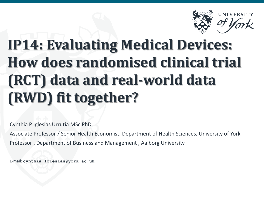

## **IP14: Evaluating Medical Devices: How does randomised clinical trial (RCT) data and real-world data (RWD) fit together?**

Cynthia P Iglesias Urrutia MSc PhD

Associate Professor / Senior Health Economist, Department of Health Sciences, University of York Professor , Department of Business and Management , Aalborg University

E-mail: **cynthia.Iglesias@york.ac.uk**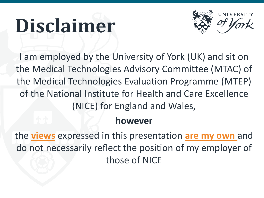# **Disclaimer**



I am employed by the University of York (UK) and sit on the Medical Technologies Advisory Committee (MTAC) of the Medical Technologies Evaluation Programme (MTEP) of the National Institute for Health and Care Excellence (NICE) for England and Wales,

#### **however**

the **views** expressed in this presentation **are my own** and do not necessarily reflect the position of my employer of those of NICE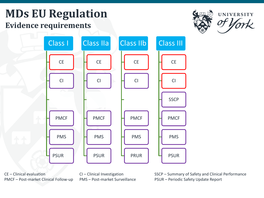## **MDs EU Regulation Evidence requirements**





CE – Clinical evaluation CI – Clinical Investigation SSCP – Summary of Safety and Clinical Performance PMCF – Post-market Clinical Follow-up PMS – Post-market Surveillance PSUR – Periodic Safety Update Report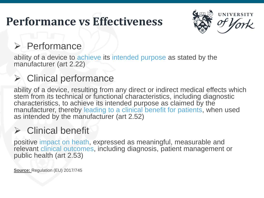## **Performance vs Effectiveness**



#### $\triangleright$  Performance

ability of a device to achieve its intended purpose as stated by the manufacturer (art 2.22)

## Clinical performance

ability of a device, resulting from any direct or indirect medical effects which stem from its technical or functional characteristics, including diagnostic characteristics, to achieve its intended purpose as claimed by the manufacturer, thereby leading to a clinical benefit for patients, when used as intended by the manufacturer (art 2.52)

## $\triangleright$  Clinical benefit

positive impact on heath, expressed as meaningful, measurable and relevant clinical outcomes, including diagnosis, patient management or public health (art 2.53)

**Source:** Regulation (EU) 2017/745